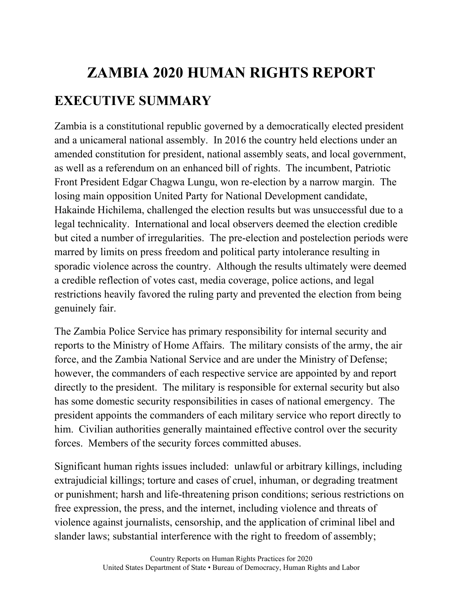# **ZAMBIA 2020 HUMAN RIGHTS REPORT EXECUTIVE SUMMARY**

Zambia is a constitutional republic governed by a democratically elected president and a unicameral national assembly. In 2016 the country held elections under an amended constitution for president, national assembly seats, and local government, as well as a referendum on an enhanced bill of rights. The incumbent, Patriotic Front President Edgar Chagwa Lungu, won re-election by a narrow margin. The losing main opposition United Party for National Development candidate, Hakainde Hichilema, challenged the election results but was unsuccessful due to a legal technicality. International and local observers deemed the election credible but cited a number of irregularities. The pre-election and postelection periods were marred by limits on press freedom and political party intolerance resulting in sporadic violence across the country. Although the results ultimately were deemed a credible reflection of votes cast, media coverage, police actions, and legal restrictions heavily favored the ruling party and prevented the election from being genuinely fair.

The Zambia Police Service has primary responsibility for internal security and reports to the Ministry of Home Affairs. The military consists of the army, the air force, and the Zambia National Service and are under the Ministry of Defense; however, the commanders of each respective service are appointed by and report directly to the president. The military is responsible for external security but also has some domestic security responsibilities in cases of national emergency. The president appoints the commanders of each military service who report directly to him. Civilian authorities generally maintained effective control over the security forces. Members of the security forces committed abuses.

Significant human rights issues included: unlawful or arbitrary killings, including extrajudicial killings; torture and cases of cruel, inhuman, or degrading treatment or punishment; harsh and life-threatening prison conditions; serious restrictions on free expression, the press, and the internet, including violence and threats of violence against journalists, censorship, and the application of criminal libel and slander laws; substantial interference with the right to freedom of assembly;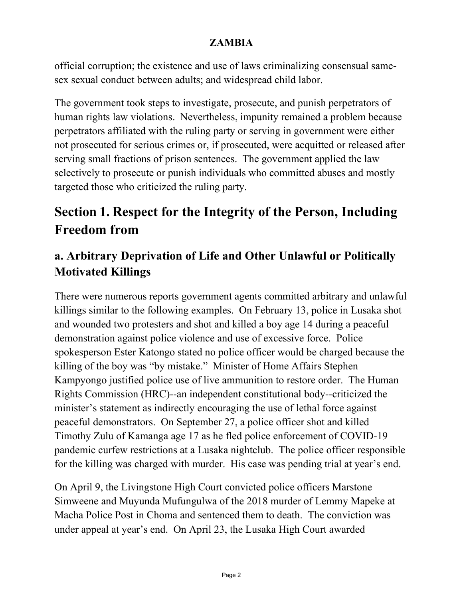official corruption; the existence and use of laws criminalizing consensual samesex sexual conduct between adults; and widespread child labor.

The government took steps to investigate, prosecute, and punish perpetrators of human rights law violations. Nevertheless, impunity remained a problem because perpetrators affiliated with the ruling party or serving in government were either not prosecuted for serious crimes or, if prosecuted, were acquitted or released after serving small fractions of prison sentences. The government applied the law selectively to prosecute or punish individuals who committed abuses and mostly targeted those who criticized the ruling party.

# **Section 1. Respect for the Integrity of the Person, Including Freedom from**

## **a. Arbitrary Deprivation of Life and Other Unlawful or Politically Motivated Killings**

There were numerous reports government agents committed arbitrary and unlawful killings similar to the following examples. On February 13, police in Lusaka shot and wounded two protesters and shot and killed a boy age 14 during a peaceful demonstration against police violence and use of excessive force. Police spokesperson Ester Katongo stated no police officer would be charged because the killing of the boy was "by mistake." Minister of Home Affairs Stephen Kampyongo justified police use of live ammunition to restore order. The Human Rights Commission (HRC)--an independent constitutional body--criticized the minister's statement as indirectly encouraging the use of lethal force against peaceful demonstrators. On September 27, a police officer shot and killed Timothy Zulu of Kamanga age 17 as he fled police enforcement of COVID-19 pandemic curfew restrictions at a Lusaka nightclub. The police officer responsible for the killing was charged with murder. His case was pending trial at year's end.

On April 9, the Livingstone High Court convicted police officers Marstone Simweene and Muyunda Mufungulwa of the 2018 murder of Lemmy Mapeke at Macha Police Post in Choma and sentenced them to death. The conviction was under appeal at year's end. On April 23, the Lusaka High Court awarded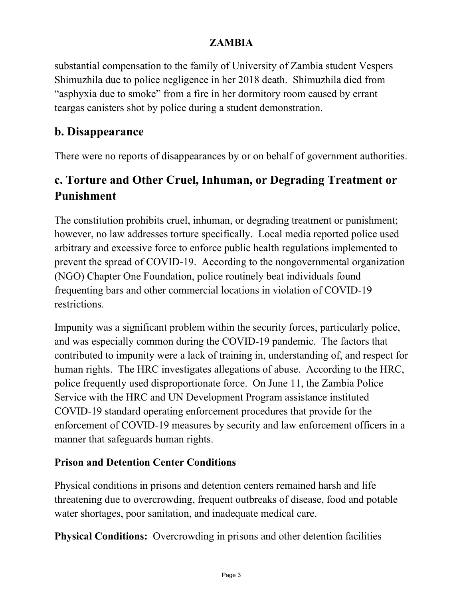substantial compensation to the family of University of Zambia student Vespers Shimuzhila due to police negligence in her 2018 death. Shimuzhila died from "asphyxia due to smoke" from a fire in her dormitory room caused by errant teargas canisters shot by police during a student demonstration.

### **b. Disappearance**

There were no reports of disappearances by or on behalf of government authorities.

### **c. Torture and Other Cruel, Inhuman, or Degrading Treatment or Punishment**

The constitution prohibits cruel, inhuman, or degrading treatment or punishment; however, no law addresses torture specifically. Local media reported police used arbitrary and excessive force to enforce public health regulations implemented to prevent the spread of COVID-19. According to the nongovernmental organization (NGO) Chapter One Foundation, police routinely beat individuals found frequenting bars and other commercial locations in violation of COVID-19 restrictions.

Impunity was a significant problem within the security forces, particularly police, and was especially common during the COVID-19 pandemic. The factors that contributed to impunity were a lack of training in, understanding of, and respect for human rights. The HRC investigates allegations of abuse. According to the HRC, police frequently used disproportionate force. On June 11, the Zambia Police Service with the HRC and UN Development Program assistance instituted COVID-19 standard operating enforcement procedures that provide for the enforcement of COVID-19 measures by security and law enforcement officers in a manner that safeguards human rights.

#### **Prison and Detention Center Conditions**

Physical conditions in prisons and detention centers remained harsh and life threatening due to overcrowding, frequent outbreaks of disease, food and potable water shortages, poor sanitation, and inadequate medical care.

**Physical Conditions:** Overcrowding in prisons and other detention facilities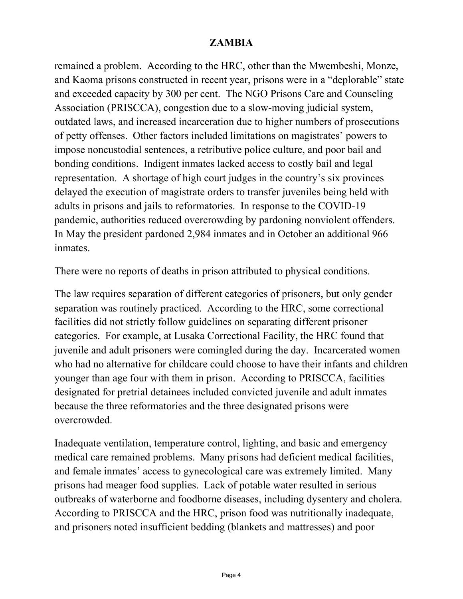remained a problem. According to the HRC, other than the Mwembeshi, Monze, and Kaoma prisons constructed in recent year, prisons were in a "deplorable" state and exceeded capacity by 300 per cent. The NGO Prisons Care and Counseling Association (PRISCCA), congestion due to a slow-moving judicial system, outdated laws, and increased incarceration due to higher numbers of prosecutions of petty offenses. Other factors included limitations on magistrates' powers to impose noncustodial sentences, a retributive police culture, and poor bail and bonding conditions. Indigent inmates lacked access to costly bail and legal representation. A shortage of high court judges in the country's six provinces delayed the execution of magistrate orders to transfer juveniles being held with adults in prisons and jails to reformatories. In response to the COVID-19 pandemic, authorities reduced overcrowding by pardoning nonviolent offenders. In May the president pardoned 2,984 inmates and in October an additional 966 inmates.

There were no reports of deaths in prison attributed to physical conditions.

The law requires separation of different categories of prisoners, but only gender separation was routinely practiced. According to the HRC, some correctional facilities did not strictly follow guidelines on separating different prisoner categories. For example, at Lusaka Correctional Facility, the HRC found that juvenile and adult prisoners were comingled during the day. Incarcerated women who had no alternative for childcare could choose to have their infants and children younger than age four with them in prison. According to PRISCCA, facilities designated for pretrial detainees included convicted juvenile and adult inmates because the three reformatories and the three designated prisons were overcrowded.

Inadequate ventilation, temperature control, lighting, and basic and emergency medical care remained problems. Many prisons had deficient medical facilities, and female inmates' access to gynecological care was extremely limited. Many prisons had meager food supplies. Lack of potable water resulted in serious outbreaks of waterborne and foodborne diseases, including dysentery and cholera. According to PRISCCA and the HRC, prison food was nutritionally inadequate, and prisoners noted insufficient bedding (blankets and mattresses) and poor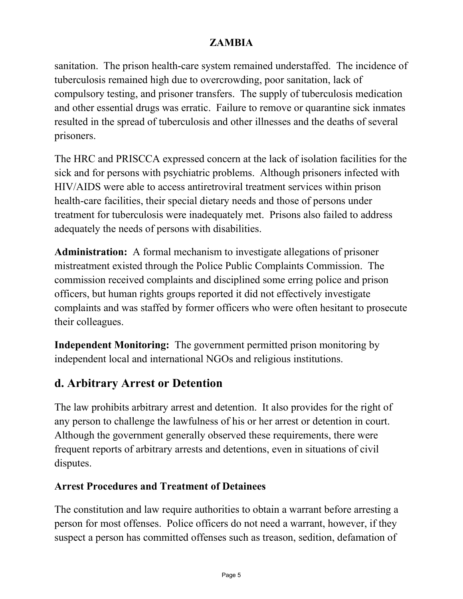sanitation. The prison health-care system remained understaffed. The incidence of tuberculosis remained high due to overcrowding, poor sanitation, lack of compulsory testing, and prisoner transfers. The supply of tuberculosis medication and other essential drugs was erratic. Failure to remove or quarantine sick inmates resulted in the spread of tuberculosis and other illnesses and the deaths of several prisoners.

The HRC and PRISCCA expressed concern at the lack of isolation facilities for the sick and for persons with psychiatric problems. Although prisoners infected with HIV/AIDS were able to access antiretroviral treatment services within prison health-care facilities, their special dietary needs and those of persons under treatment for tuberculosis were inadequately met. Prisons also failed to address adequately the needs of persons with disabilities.

**Administration:** A formal mechanism to investigate allegations of prisoner mistreatment existed through the Police Public Complaints Commission. The commission received complaints and disciplined some erring police and prison officers, but human rights groups reported it did not effectively investigate complaints and was staffed by former officers who were often hesitant to prosecute their colleagues.

**Independent Monitoring:** The government permitted prison monitoring by independent local and international NGOs and religious institutions.

### **d. Arbitrary Arrest or Detention**

The law prohibits arbitrary arrest and detention. It also provides for the right of any person to challenge the lawfulness of his or her arrest or detention in court. Although the government generally observed these requirements, there were frequent reports of arbitrary arrests and detentions, even in situations of civil disputes.

### **Arrest Procedures and Treatment of Detainees**

The constitution and law require authorities to obtain a warrant before arresting a person for most offenses. Police officers do not need a warrant, however, if they suspect a person has committed offenses such as treason, sedition, defamation of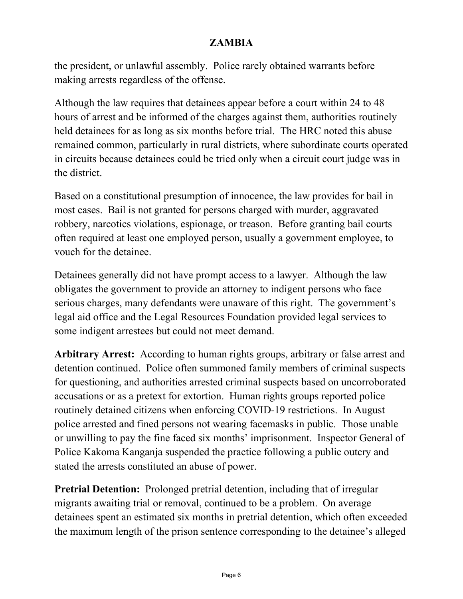the president, or unlawful assembly. Police rarely obtained warrants before making arrests regardless of the offense.

Although the law requires that detainees appear before a court within 24 to 48 hours of arrest and be informed of the charges against them, authorities routinely held detainees for as long as six months before trial. The HRC noted this abuse remained common, particularly in rural districts, where subordinate courts operated in circuits because detainees could be tried only when a circuit court judge was in the district.

Based on a constitutional presumption of innocence, the law provides for bail in most cases. Bail is not granted for persons charged with murder, aggravated robbery, narcotics violations, espionage, or treason. Before granting bail courts often required at least one employed person, usually a government employee, to vouch for the detainee.

Detainees generally did not have prompt access to a lawyer. Although the law obligates the government to provide an attorney to indigent persons who face serious charges, many defendants were unaware of this right. The government's legal aid office and the Legal Resources Foundation provided legal services to some indigent arrestees but could not meet demand.

**Arbitrary Arrest:** According to human rights groups, arbitrary or false arrest and detention continued. Police often summoned family members of criminal suspects for questioning, and authorities arrested criminal suspects based on uncorroborated accusations or as a pretext for extortion. Human rights groups reported police routinely detained citizens when enforcing COVID-19 restrictions. In August police arrested and fined persons not wearing facemasks in public. Those unable or unwilling to pay the fine faced six months' imprisonment. Inspector General of Police Kakoma Kanganja suspended the practice following a public outcry and stated the arrests constituted an abuse of power.

**Pretrial Detention:** Prolonged pretrial detention, including that of irregular migrants awaiting trial or removal, continued to be a problem. On average detainees spent an estimated six months in pretrial detention, which often exceeded the maximum length of the prison sentence corresponding to the detainee's alleged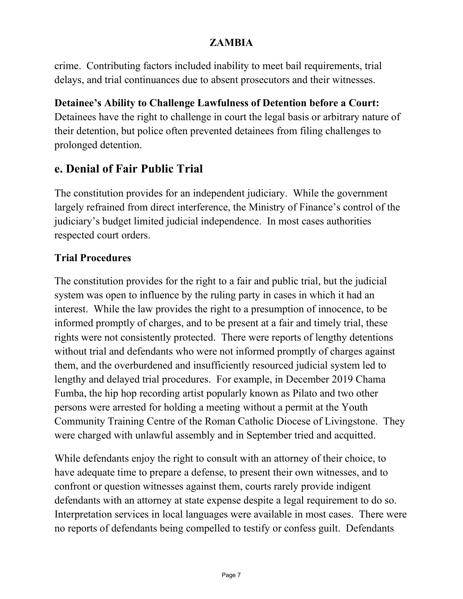crime. Contributing factors included inability to meet bail requirements, trial delays, and trial continuances due to absent prosecutors and their witnesses.

**Detainee's Ability to Challenge Lawfulness of Detention before a Court:** Detainees have the right to challenge in court the legal basis or arbitrary nature of their detention, but police often prevented detainees from filing challenges to prolonged detention.

### **e. Denial of Fair Public Trial**

The constitution provides for an independent judiciary. While the government largely refrained from direct interference, the Ministry of Finance's control of the judiciary's budget limited judicial independence. In most cases authorities respected court orders.

### **Trial Procedures**

The constitution provides for the right to a fair and public trial, but the judicial system was open to influence by the ruling party in cases in which it had an interest. While the law provides the right to a presumption of innocence, to be informed promptly of charges, and to be present at a fair and timely trial, these rights were not consistently protected. There were reports of lengthy detentions without trial and defendants who were not informed promptly of charges against them, and the overburdened and insufficiently resourced judicial system led to lengthy and delayed trial procedures. For example, in December 2019 Chama Fumba, the hip hop recording artist popularly known as Pilato and two other persons were arrested for holding a meeting without a permit at the Youth Community Training Centre of the Roman Catholic Diocese of Livingstone. They were charged with unlawful assembly and in September tried and acquitted.

While defendants enjoy the right to consult with an attorney of their choice, to have adequate time to prepare a defense, to present their own witnesses, and to confront or question witnesses against them, courts rarely provide indigent defendants with an attorney at state expense despite a legal requirement to do so. Interpretation services in local languages were available in most cases. There were no reports of defendants being compelled to testify or confess guilt. Defendants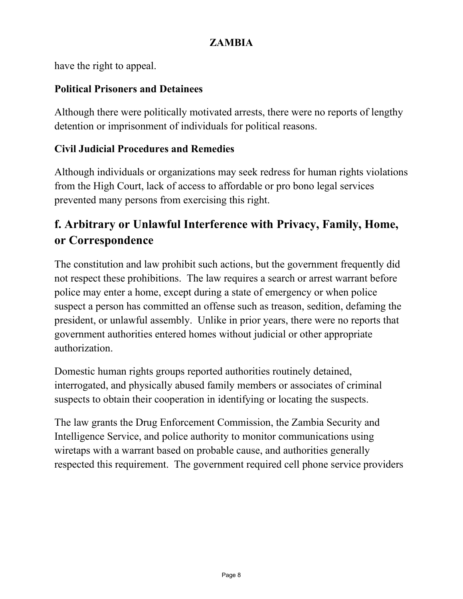have the right to appeal.

### **Political Prisoners and Detainees**

Although there were politically motivated arrests, there were no reports of lengthy detention or imprisonment of individuals for political reasons.

### **Civil Judicial Procedures and Remedies**

Although individuals or organizations may seek redress for human rights violations from the High Court, lack of access to affordable or pro bono legal services prevented many persons from exercising this right.

### **f. Arbitrary or Unlawful Interference with Privacy, Family, Home, or Correspondence**

The constitution and law prohibit such actions, but the government frequently did not respect these prohibitions. The law requires a search or arrest warrant before police may enter a home, except during a state of emergency or when police suspect a person has committed an offense such as treason, sedition, defaming the president, or unlawful assembly. Unlike in prior years, there were no reports that government authorities entered homes without judicial or other appropriate authorization.

Domestic human rights groups reported authorities routinely detained, interrogated, and physically abused family members or associates of criminal suspects to obtain their cooperation in identifying or locating the suspects.

The law grants the Drug Enforcement Commission, the Zambia Security and Intelligence Service, and police authority to monitor communications using wiretaps with a warrant based on probable cause, and authorities generally respected this requirement. The government required cell phone service providers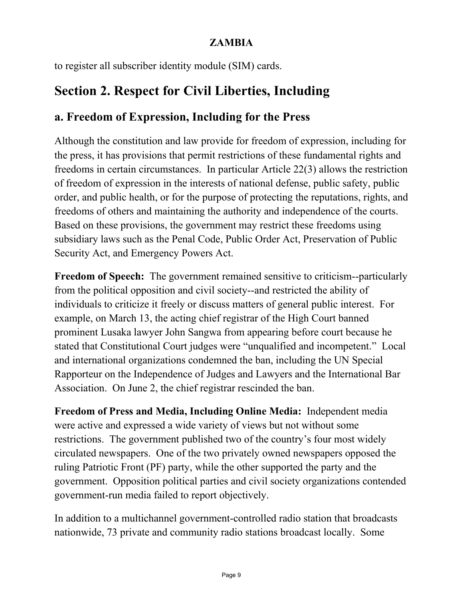to register all subscriber identity module (SIM) cards.

# **Section 2. Respect for Civil Liberties, Including**

### **a. Freedom of Expression, Including for the Press**

Although the constitution and law provide for freedom of expression, including for the press, it has provisions that permit restrictions of these fundamental rights and freedoms in certain circumstances. In particular Article 22(3) allows the restriction of freedom of expression in the interests of national defense, public safety, public order, and public health, or for the purpose of protecting the reputations, rights, and freedoms of others and maintaining the authority and independence of the courts. Based on these provisions, the government may restrict these freedoms using subsidiary laws such as the Penal Code, Public Order Act, Preservation of Public Security Act, and Emergency Powers Act.

**Freedom of Speech:** The government remained sensitive to criticism--particularly from the political opposition and civil society--and restricted the ability of individuals to criticize it freely or discuss matters of general public interest. For example, on March 13, the acting chief registrar of the High Court banned prominent Lusaka lawyer John Sangwa from appearing before court because he stated that Constitutional Court judges were "unqualified and incompetent." Local and international organizations condemned the ban, including the UN Special Rapporteur on the Independence of Judges and Lawyers and the International Bar Association. On June 2, the chief registrar rescinded the ban.

**Freedom of Press and Media, Including Online Media:** Independent media were active and expressed a wide variety of views but not without some restrictions. The government published two of the country's four most widely circulated newspapers. One of the two privately owned newspapers opposed the ruling Patriotic Front (PF) party, while the other supported the party and the government. Opposition political parties and civil society organizations contended government-run media failed to report objectively.

In addition to a multichannel government-controlled radio station that broadcasts nationwide, 73 private and community radio stations broadcast locally. Some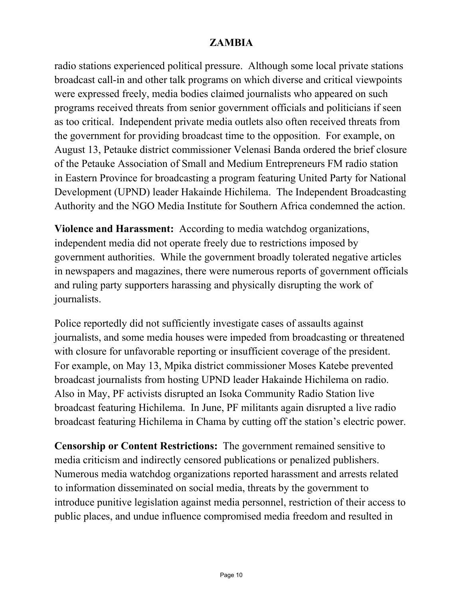radio stations experienced political pressure. Although some local private stations broadcast call-in and other talk programs on which diverse and critical viewpoints were expressed freely, media bodies claimed journalists who appeared on such programs received threats from senior government officials and politicians if seen as too critical. Independent private media outlets also often received threats from the government for providing broadcast time to the opposition. For example, on August 13, Petauke district commissioner Velenasi Banda ordered the brief closure of the Petauke Association of Small and Medium Entrepreneurs FM radio station in Eastern Province for broadcasting a program featuring United Party for National Development (UPND) leader Hakainde Hichilema. The Independent Broadcasting Authority and the NGO Media Institute for Southern Africa condemned the action.

**Violence and Harassment:** According to media watchdog organizations, independent media did not operate freely due to restrictions imposed by government authorities. While the government broadly tolerated negative articles in newspapers and magazines, there were numerous reports of government officials and ruling party supporters harassing and physically disrupting the work of journalists.

Police reportedly did not sufficiently investigate cases of assaults against journalists, and some media houses were impeded from broadcasting or threatened with closure for unfavorable reporting or insufficient coverage of the president. For example, on May 13, Mpika district commissioner Moses Katebe prevented broadcast journalists from hosting UPND leader Hakainde Hichilema on radio. Also in May, PF activists disrupted an Isoka Community Radio Station live broadcast featuring Hichilema. In June, PF militants again disrupted a live radio broadcast featuring Hichilema in Chama by cutting off the station's electric power.

**Censorship or Content Restrictions:** The government remained sensitive to media criticism and indirectly censored publications or penalized publishers. Numerous media watchdog organizations reported harassment and arrests related to information disseminated on social media, threats by the government to introduce punitive legislation against media personnel, restriction of their access to public places, and undue influence compromised media freedom and resulted in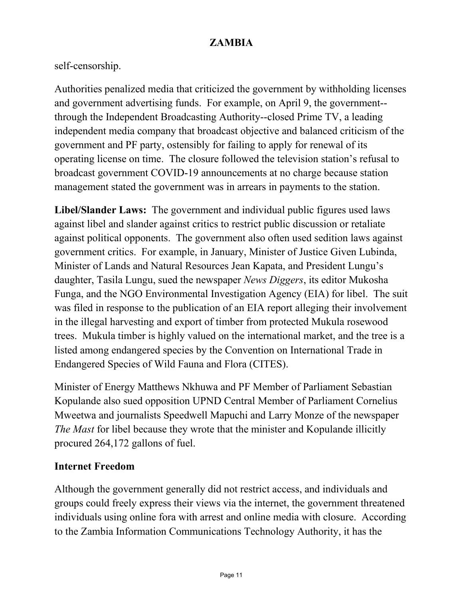### self-censorship.

Authorities penalized media that criticized the government by withholding licenses and government advertising funds. For example, on April 9, the government- through the Independent Broadcasting Authority--closed Prime TV, a leading independent media company that broadcast objective and balanced criticism of the government and PF party, ostensibly for failing to apply for renewal of its operating license on time. The closure followed the television station's refusal to broadcast government COVID-19 announcements at no charge because station management stated the government was in arrears in payments to the station.

**Libel/Slander Laws:** The government and individual public figures used laws against libel and slander against critics to restrict public discussion or retaliate against political opponents. The government also often used sedition laws against government critics. For example, in January, Minister of Justice Given Lubinda, Minister of Lands and Natural Resources Jean Kapata, and President Lungu's daughter, Tasila Lungu, sued the newspaper *News Diggers*, its editor Mukosha Funga, and the NGO Environmental Investigation Agency (EIA) for libel. The suit was filed in response to the publication of an EIA report alleging their involvement in the illegal harvesting and export of timber from protected Mukula rosewood trees. Mukula timber is highly valued on the international market, and the tree is a listed among endangered species by the Convention on International Trade in Endangered Species of Wild Fauna and Flora (CITES).

Minister of Energy Matthews Nkhuwa and PF Member of Parliament Sebastian Kopulande also sued opposition UPND Central Member of Parliament Cornelius Mweetwa and journalists Speedwell Mapuchi and Larry Monze of the newspaper *The Mast* for libel because they wrote that the minister and Kopulande illicitly procured 264,172 gallons of fuel.

#### **Internet Freedom**

Although the government generally did not restrict access, and individuals and groups could freely express their views via the internet, the government threatened individuals using online fora with arrest and online media with closure. According to the Zambia Information Communications Technology Authority, it has the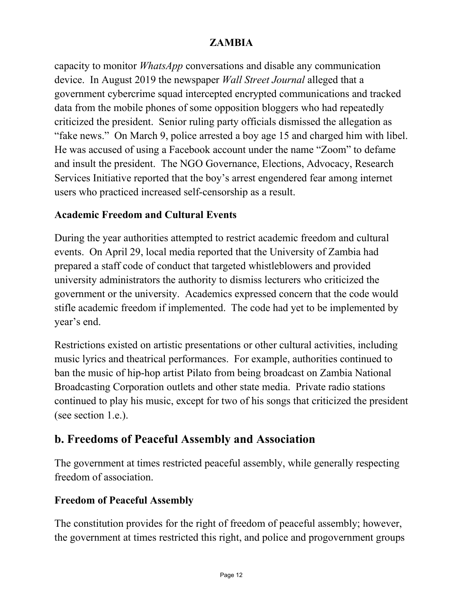capacity to monitor *WhatsApp* conversations and disable any communication device. In August 2019 the newspaper *Wall Street Journal* alleged that a government cybercrime squad intercepted encrypted communications and tracked data from the mobile phones of some opposition bloggers who had repeatedly criticized the president. Senior ruling party officials dismissed the allegation as "fake news." On March 9, police arrested a boy age 15 and charged him with libel. He was accused of using a Facebook account under the name "Zoom" to defame and insult the president. The NGO Governance, Elections, Advocacy, Research Services Initiative reported that the boy's arrest engendered fear among internet users who practiced increased self-censorship as a result.

#### **Academic Freedom and Cultural Events**

During the year authorities attempted to restrict academic freedom and cultural events. On April 29, local media reported that the University of Zambia had prepared a staff code of conduct that targeted whistleblowers and provided university administrators the authority to dismiss lecturers who criticized the government or the university. Academics expressed concern that the code would stifle academic freedom if implemented. The code had yet to be implemented by year's end.

Restrictions existed on artistic presentations or other cultural activities, including music lyrics and theatrical performances. For example, authorities continued to ban the music of hip-hop artist Pilato from being broadcast on Zambia National Broadcasting Corporation outlets and other state media. Private radio stations continued to play his music, except for two of his songs that criticized the president (see section 1.e.).

### **b. Freedoms of Peaceful Assembly and Association**

The government at times restricted peaceful assembly, while generally respecting freedom of association.

### **Freedom of Peaceful Assembly**

The constitution provides for the right of freedom of peaceful assembly; however, the government at times restricted this right, and police and progovernment groups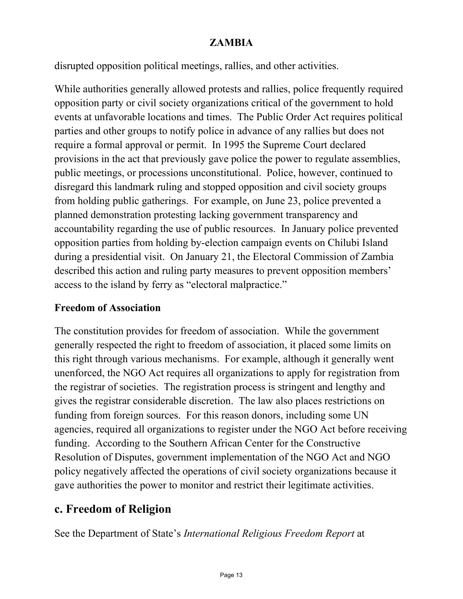disrupted opposition political meetings, rallies, and other activities.

While authorities generally allowed protests and rallies, police frequently required opposition party or civil society organizations critical of the government to hold events at unfavorable locations and times. The Public Order Act requires political parties and other groups to notify police in advance of any rallies but does not require a formal approval or permit. In 1995 the Supreme Court declared provisions in the act that previously gave police the power to regulate assemblies, public meetings, or processions unconstitutional. Police, however, continued to disregard this landmark ruling and stopped opposition and civil society groups from holding public gatherings. For example, on June 23, police prevented a planned demonstration protesting lacking government transparency and accountability regarding the use of public resources. In January police prevented opposition parties from holding by-election campaign events on Chilubi Island during a presidential visit. On January 21, the Electoral Commission of Zambia described this action and ruling party measures to prevent opposition members' access to the island by ferry as "electoral malpractice."

#### **Freedom of Association**

The constitution provides for freedom of association. While the government generally respected the right to freedom of association, it placed some limits on this right through various mechanisms. For example, although it generally went unenforced, the NGO Act requires all organizations to apply for registration from the registrar of societies. The registration process is stringent and lengthy and gives the registrar considerable discretion. The law also places restrictions on funding from foreign sources. For this reason donors, including some UN agencies, required all organizations to register under the NGO Act before receiving funding. According to the Southern African Center for the Constructive Resolution of Disputes, government implementation of the NGO Act and NGO policy negatively affected the operations of civil society organizations because it gave authorities the power to monitor and restrict their legitimate activities.

### **c. Freedom of Religion**

See the Department of State's *International Religious Freedom Report* at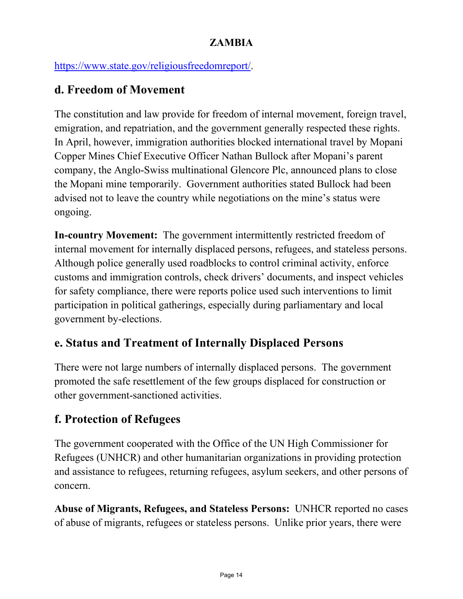[https://www.state.gov/religiousfreedomreport/.](https://www.state.gov/religiousfreedomreport/)

### **d. Freedom of Movement**

The constitution and law provide for freedom of internal movement, foreign travel, emigration, and repatriation, and the government generally respected these rights. In April, however, immigration authorities blocked international travel by Mopani Copper Mines Chief Executive Officer Nathan Bullock after Mopani's parent company, the Anglo-Swiss multinational Glencore Plc, announced plans to close the Mopani mine temporarily. Government authorities stated Bullock had been advised not to leave the country while negotiations on the mine's status were ongoing.

**In-country Movement:** The government intermittently restricted freedom of internal movement for internally displaced persons, refugees, and stateless persons. Although police generally used roadblocks to control criminal activity, enforce customs and immigration controls, check drivers' documents, and inspect vehicles for safety compliance, there were reports police used such interventions to limit participation in political gatherings, especially during parliamentary and local government by-elections.

### **e. Status and Treatment of Internally Displaced Persons**

There were not large numbers of internally displaced persons. The government promoted the safe resettlement of the few groups displaced for construction or other government-sanctioned activities.

### **f. Protection of Refugees**

The government cooperated with the Office of the UN High Commissioner for Refugees (UNHCR) and other humanitarian organizations in providing protection and assistance to refugees, returning refugees, asylum seekers, and other persons of concern.

**Abuse of Migrants, Refugees, and Stateless Persons:** UNHCR reported no cases of abuse of migrants, refugees or stateless persons. Unlike prior years, there were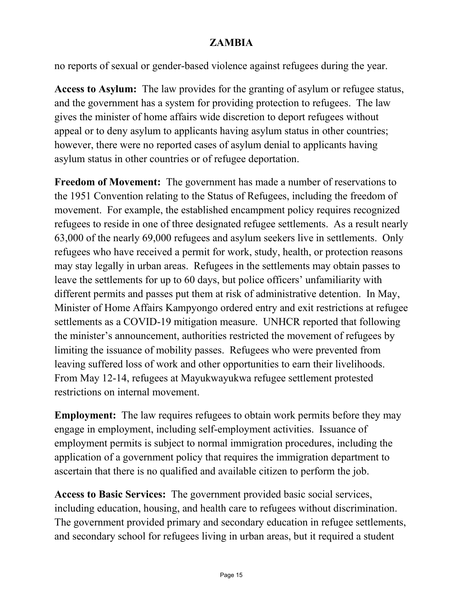no reports of sexual or gender-based violence against refugees during the year.

**Access to Asylum:** The law provides for the granting of asylum or refugee status, and the government has a system for providing protection to refugees. The law gives the minister of home affairs wide discretion to deport refugees without appeal or to deny asylum to applicants having asylum status in other countries; however, there were no reported cases of asylum denial to applicants having asylum status in other countries or of refugee deportation.

**Freedom of Movement:** The government has made a number of reservations to the 1951 Convention relating to the Status of Refugees, including the freedom of movement. For example, the established encampment policy requires recognized refugees to reside in one of three designated refugee settlements. As a result nearly 63,000 of the nearly 69,000 refugees and asylum seekers live in settlements. Only refugees who have received a permit for work, study, health, or protection reasons may stay legally in urban areas. Refugees in the settlements may obtain passes to leave the settlements for up to 60 days, but police officers' unfamiliarity with different permits and passes put them at risk of administrative detention. In May, Minister of Home Affairs Kampyongo ordered entry and exit restrictions at refugee settlements as a COVID-19 mitigation measure. UNHCR reported that following the minister's announcement, authorities restricted the movement of refugees by limiting the issuance of mobility passes. Refugees who were prevented from leaving suffered loss of work and other opportunities to earn their livelihoods. From May 12-14, refugees at Mayukwayukwa refugee settlement protested restrictions on internal movement.

**Employment:** The law requires refugees to obtain work permits before they may engage in employment, including self-employment activities. Issuance of employment permits is subject to normal immigration procedures, including the application of a government policy that requires the immigration department to ascertain that there is no qualified and available citizen to perform the job.

**Access to Basic Services:** The government provided basic social services, including education, housing, and health care to refugees without discrimination. The government provided primary and secondary education in refugee settlements, and secondary school for refugees living in urban areas, but it required a student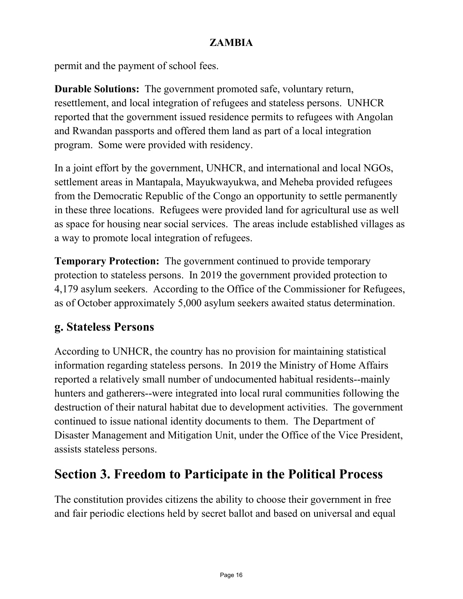permit and the payment of school fees.

**Durable Solutions:** The government promoted safe, voluntary return, resettlement, and local integration of refugees and stateless persons. UNHCR reported that the government issued residence permits to refugees with Angolan and Rwandan passports and offered them land as part of a local integration program. Some were provided with residency.

In a joint effort by the government, UNHCR, and international and local NGOs, settlement areas in Mantapala, Mayukwayukwa, and Meheba provided refugees from the Democratic Republic of the Congo an opportunity to settle permanently in these three locations. Refugees were provided land for agricultural use as well as space for housing near social services. The areas include established villages as a way to promote local integration of refugees.

**Temporary Protection:** The government continued to provide temporary protection to stateless persons. In 2019 the government provided protection to 4,179 asylum seekers. According to the Office of the Commissioner for Refugees, as of October approximately 5,000 asylum seekers awaited status determination.

### **g. Stateless Persons**

According to UNHCR, the country has no provision for maintaining statistical information regarding stateless persons. In 2019 the Ministry of Home Affairs reported a relatively small number of undocumented habitual residents--mainly hunters and gatherers--were integrated into local rural communities following the destruction of their natural habitat due to development activities. The government continued to issue national identity documents to them. The Department of Disaster Management and Mitigation Unit, under the Office of the Vice President, assists stateless persons.

# **Section 3. Freedom to Participate in the Political Process**

The constitution provides citizens the ability to choose their government in free and fair periodic elections held by secret ballot and based on universal and equal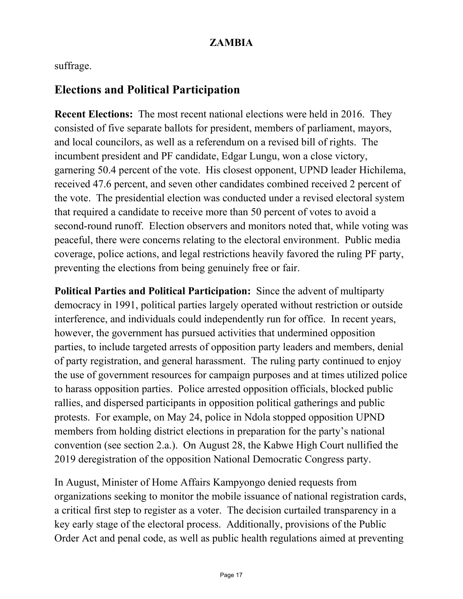suffrage.

### **Elections and Political Participation**

**Recent Elections:** The most recent national elections were held in 2016. They consisted of five separate ballots for president, members of parliament, mayors, and local councilors, as well as a referendum on a revised bill of rights. The incumbent president and PF candidate, Edgar Lungu, won a close victory, garnering 50.4 percent of the vote. His closest opponent, UPND leader Hichilema, received 47.6 percent, and seven other candidates combined received 2 percent of the vote. The presidential election was conducted under a revised electoral system that required a candidate to receive more than 50 percent of votes to avoid a second-round runoff. Election observers and monitors noted that, while voting was peaceful, there were concerns relating to the electoral environment. Public media coverage, police actions, and legal restrictions heavily favored the ruling PF party, preventing the elections from being genuinely free or fair.

**Political Parties and Political Participation:** Since the advent of multiparty democracy in 1991, political parties largely operated without restriction or outside interference, and individuals could independently run for office. In recent years, however, the government has pursued activities that undermined opposition parties, to include targeted arrests of opposition party leaders and members, denial of party registration, and general harassment. The ruling party continued to enjoy the use of government resources for campaign purposes and at times utilized police to harass opposition parties. Police arrested opposition officials, blocked public rallies, and dispersed participants in opposition political gatherings and public protests. For example, on May 24, police in Ndola stopped opposition UPND members from holding district elections in preparation for the party's national convention (see section 2.a.). On August 28, the Kabwe High Court nullified the 2019 deregistration of the opposition National Democratic Congress party.

In August, Minister of Home Affairs Kampyongo denied requests from organizations seeking to monitor the mobile issuance of national registration cards, a critical first step to register as a voter. The decision curtailed transparency in a key early stage of the electoral process. Additionally, provisions of the Public Order Act and penal code, as well as public health regulations aimed at preventing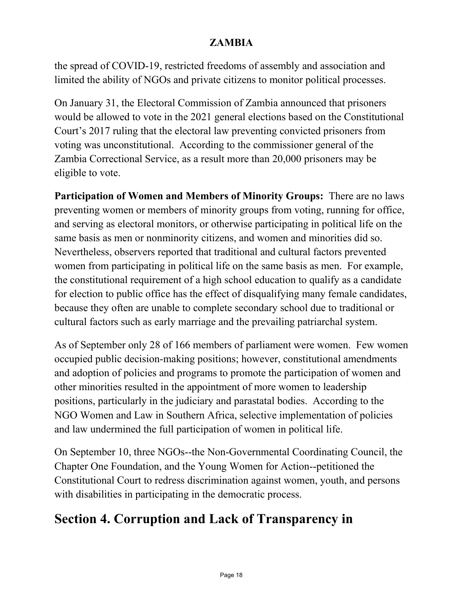the spread of COVID-19, restricted freedoms of assembly and association and limited the ability of NGOs and private citizens to monitor political processes.

On January 31, the Electoral Commission of Zambia announced that prisoners would be allowed to vote in the 2021 general elections based on the Constitutional Court's 2017 ruling that the electoral law preventing convicted prisoners from voting was unconstitutional. According to the commissioner general of the Zambia Correctional Service, as a result more than 20,000 prisoners may be eligible to vote.

**Participation of Women and Members of Minority Groups:** There are no laws preventing women or members of minority groups from voting, running for office, and serving as electoral monitors, or otherwise participating in political life on the same basis as men or nonminority citizens, and women and minorities did so. Nevertheless, observers reported that traditional and cultural factors prevented women from participating in political life on the same basis as men. For example, the constitutional requirement of a high school education to qualify as a candidate for election to public office has the effect of disqualifying many female candidates, because they often are unable to complete secondary school due to traditional or cultural factors such as early marriage and the prevailing patriarchal system.

As of September only 28 of 166 members of parliament were women. Few women occupied public decision-making positions; however, constitutional amendments and adoption of policies and programs to promote the participation of women and other minorities resulted in the appointment of more women to leadership positions, particularly in the judiciary and parastatal bodies. According to the NGO Women and Law in Southern Africa, selective implementation of policies and law undermined the full participation of women in political life.

On September 10, three NGOs--the Non-Governmental Coordinating Council, the Chapter One Foundation, and the Young Women for Action--petitioned the Constitutional Court to redress discrimination against women, youth, and persons with disabilities in participating in the democratic process.

# **Section 4. Corruption and Lack of Transparency in**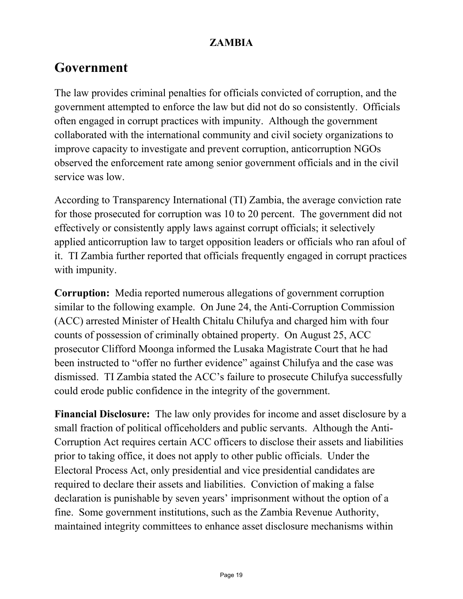## **Government**

The law provides criminal penalties for officials convicted of corruption, and the government attempted to enforce the law but did not do so consistently. Officials often engaged in corrupt practices with impunity. Although the government collaborated with the international community and civil society organizations to improve capacity to investigate and prevent corruption, anticorruption NGOs observed the enforcement rate among senior government officials and in the civil service was low.

According to Transparency International (TI) Zambia, the average conviction rate for those prosecuted for corruption was 10 to 20 percent. The government did not effectively or consistently apply laws against corrupt officials; it selectively applied anticorruption law to target opposition leaders or officials who ran afoul of it. TI Zambia further reported that officials frequently engaged in corrupt practices with impunity.

**Corruption:** Media reported numerous allegations of government corruption similar to the following example. On June 24, the Anti-Corruption Commission (ACC) arrested Minister of Health Chitalu Chilufya and charged him with four counts of possession of criminally obtained property. On August 25, ACC prosecutor Clifford Moonga informed the Lusaka Magistrate Court that he had been instructed to "offer no further evidence" against Chilufya and the case was dismissed. TI Zambia stated the ACC's failure to prosecute Chilufya successfully could erode public confidence in the integrity of the government.

**Financial Disclosure:** The law only provides for income and asset disclosure by a small fraction of political officeholders and public servants. Although the Anti-Corruption Act requires certain ACC officers to disclose their assets and liabilities prior to taking office, it does not apply to other public officials. Under the Electoral Process Act, only presidential and vice presidential candidates are required to declare their assets and liabilities. Conviction of making a false declaration is punishable by seven years' imprisonment without the option of a fine. Some government institutions, such as the Zambia Revenue Authority, maintained integrity committees to enhance asset disclosure mechanisms within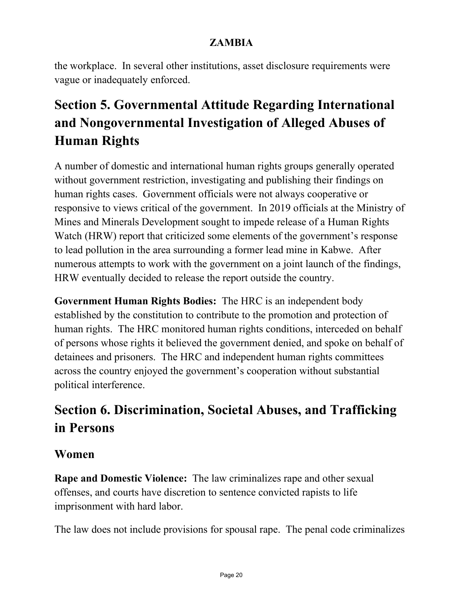the workplace. In several other institutions, asset disclosure requirements were vague or inadequately enforced.

# **Section 5. Governmental Attitude Regarding International and Nongovernmental Investigation of Alleged Abuses of Human Rights**

A number of domestic and international human rights groups generally operated without government restriction, investigating and publishing their findings on human rights cases. Government officials were not always cooperative or responsive to views critical of the government. In 2019 officials at the Ministry of Mines and Minerals Development sought to impede release of a Human Rights Watch (HRW) report that criticized some elements of the government's response to lead pollution in the area surrounding a former lead mine in Kabwe. After numerous attempts to work with the government on a joint launch of the findings, HRW eventually decided to release the report outside the country.

**Government Human Rights Bodies:** The HRC is an independent body established by the constitution to contribute to the promotion and protection of human rights. The HRC monitored human rights conditions, interceded on behalf of persons whose rights it believed the government denied, and spoke on behalf of detainees and prisoners. The HRC and independent human rights committees across the country enjoyed the government's cooperation without substantial political interference.

# **Section 6. Discrimination, Societal Abuses, and Trafficking in Persons**

### **Women**

**Rape and Domestic Violence:** The law criminalizes rape and other sexual offenses, and courts have discretion to sentence convicted rapists to life imprisonment with hard labor.

The law does not include provisions for spousal rape. The penal code criminalizes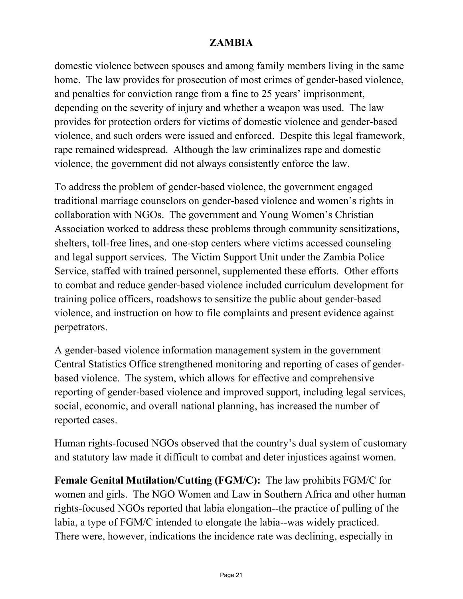domestic violence between spouses and among family members living in the same home. The law provides for prosecution of most crimes of gender-based violence, and penalties for conviction range from a fine to 25 years' imprisonment, depending on the severity of injury and whether a weapon was used. The law provides for protection orders for victims of domestic violence and gender-based violence, and such orders were issued and enforced. Despite this legal framework, rape remained widespread. Although the law criminalizes rape and domestic violence, the government did not always consistently enforce the law.

To address the problem of gender-based violence, the government engaged traditional marriage counselors on gender-based violence and women's rights in collaboration with NGOs. The government and Young Women's Christian Association worked to address these problems through community sensitizations, shelters, toll-free lines, and one-stop centers where victims accessed counseling and legal support services. The Victim Support Unit under the Zambia Police Service, staffed with trained personnel, supplemented these efforts. Other efforts to combat and reduce gender-based violence included curriculum development for training police officers, roadshows to sensitize the public about gender-based violence, and instruction on how to file complaints and present evidence against perpetrators.

A gender-based violence information management system in the government Central Statistics Office strengthened monitoring and reporting of cases of genderbased violence. The system, which allows for effective and comprehensive reporting of gender-based violence and improved support, including legal services, social, economic, and overall national planning, has increased the number of reported cases.

Human rights-focused NGOs observed that the country's dual system of customary and statutory law made it difficult to combat and deter injustices against women.

**Female Genital Mutilation/Cutting (FGM/C):** The law prohibits FGM/C for women and girls. The NGO Women and Law in Southern Africa and other human rights-focused NGOs reported that labia elongation--the practice of pulling of the labia, a type of FGM/C intended to elongate the labia--was widely practiced. There were, however, indications the incidence rate was declining, especially in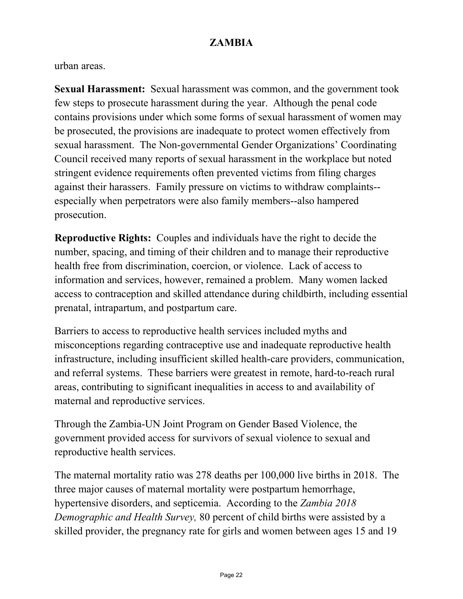urban areas.

**Sexual Harassment:** Sexual harassment was common, and the government took few steps to prosecute harassment during the year. Although the penal code contains provisions under which some forms of sexual harassment of women may be prosecuted, the provisions are inadequate to protect women effectively from sexual harassment. The Non-governmental Gender Organizations' Coordinating Council received many reports of sexual harassment in the workplace but noted stringent evidence requirements often prevented victims from filing charges against their harassers. Family pressure on victims to withdraw complaints- especially when perpetrators were also family members--also hampered prosecution.

**Reproductive Rights:** Couples and individuals have the right to decide the number, spacing, and timing of their children and to manage their reproductive health free from discrimination, coercion, or violence. Lack of access to information and services, however, remained a problem. Many women lacked access to contraception and skilled attendance during childbirth, including essential prenatal, intrapartum, and postpartum care.

Barriers to access to reproductive health services included myths and misconceptions regarding contraceptive use and inadequate reproductive health infrastructure, including insufficient skilled health-care providers, communication, and referral systems. These barriers were greatest in remote, hard-to-reach rural areas, contributing to significant inequalities in access to and availability of maternal and reproductive services.

Through the Zambia-UN Joint Program on Gender Based Violence, the government provided access for survivors of sexual violence to sexual and reproductive health services.

The maternal mortality ratio was 278 deaths per 100,000 live births in 2018. The three major causes of maternal mortality were postpartum hemorrhage, hypertensive disorders, and septicemia. According to the *Zambia 2018 Demographic and Health Survey,* 80 percent of child births were assisted by a skilled provider, the pregnancy rate for girls and women between ages 15 and 19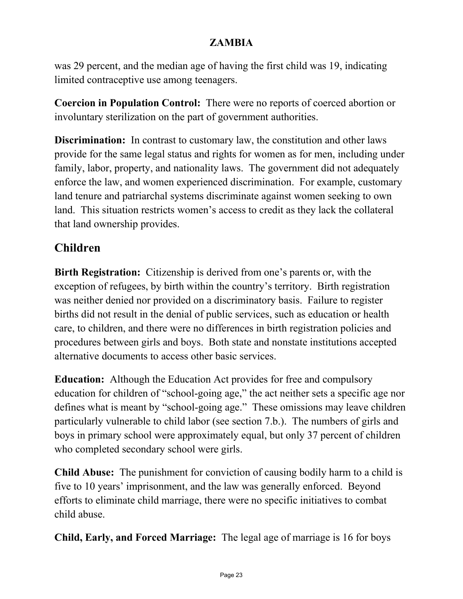was 29 percent, and the median age of having the first child was 19, indicating limited contraceptive use among teenagers.

**Coercion in Population Control:** There were no reports of coerced abortion or involuntary sterilization on the part of government authorities.

**Discrimination:** In contrast to customary law, the constitution and other laws provide for the same legal status and rights for women as for men, including under family, labor, property, and nationality laws. The government did not adequately enforce the law, and women experienced discrimination. For example, customary land tenure and patriarchal systems discriminate against women seeking to own land. This situation restricts women's access to credit as they lack the collateral that land ownership provides.

### **Children**

**Birth Registration:** Citizenship is derived from one's parents or, with the exception of refugees, by birth within the country's territory. Birth registration was neither denied nor provided on a discriminatory basis. Failure to register births did not result in the denial of public services, such as education or health care, to children, and there were no differences in birth registration policies and procedures between girls and boys. Both state and nonstate institutions accepted alternative documents to access other basic services.

**Education:** Although the Education Act provides for free and compulsory education for children of "school-going age," the act neither sets a specific age nor defines what is meant by "school-going age." These omissions may leave children particularly vulnerable to child labor (see section 7.b.). The numbers of girls and boys in primary school were approximately equal, but only 37 percent of children who completed secondary school were girls.

**Child Abuse:** The punishment for conviction of causing bodily harm to a child is five to 10 years' imprisonment, and the law was generally enforced. Beyond efforts to eliminate child marriage, there were no specific initiatives to combat child abuse.

**Child, Early, and Forced Marriage:** The legal age of marriage is 16 for boys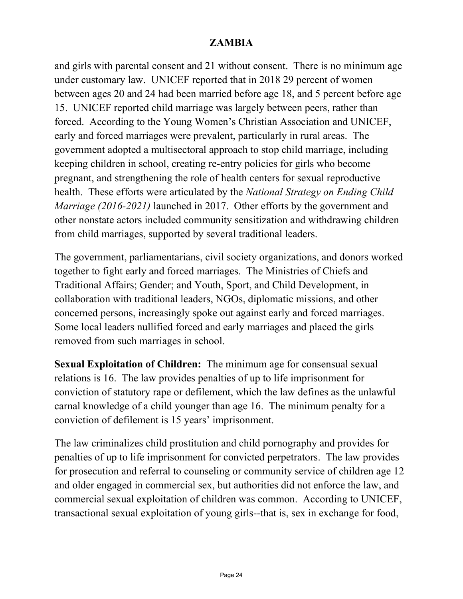and girls with parental consent and 21 without consent. There is no minimum age under customary law. UNICEF reported that in 2018 29 percent of women between ages 20 and 24 had been married before age 18, and 5 percent before age 15. UNICEF reported child marriage was largely between peers, rather than forced. According to the Young Women's Christian Association and UNICEF, early and forced marriages were prevalent, particularly in rural areas. The government adopted a multisectoral approach to stop child marriage, including keeping children in school, creating re-entry policies for girls who become pregnant, and strengthening the role of health centers for sexual reproductive health. These efforts were articulated by the *National Strategy on Ending Child Marriage (2016-2021)* launched in 2017. Other efforts by the government and other nonstate actors included community sensitization and withdrawing children from child marriages, supported by several traditional leaders.

The government, parliamentarians, civil society organizations, and donors worked together to fight early and forced marriages. The Ministries of Chiefs and Traditional Affairs; Gender; and Youth, Sport, and Child Development, in collaboration with traditional leaders, NGOs, diplomatic missions, and other concerned persons, increasingly spoke out against early and forced marriages. Some local leaders nullified forced and early marriages and placed the girls removed from such marriages in school.

**Sexual Exploitation of Children:** The minimum age for consensual sexual relations is 16. The law provides penalties of up to life imprisonment for conviction of statutory rape or defilement, which the law defines as the unlawful carnal knowledge of a child younger than age 16. The minimum penalty for a conviction of defilement is 15 years' imprisonment.

The law criminalizes child prostitution and child pornography and provides for penalties of up to life imprisonment for convicted perpetrators. The law provides for prosecution and referral to counseling or community service of children age 12 and older engaged in commercial sex, but authorities did not enforce the law, and commercial sexual exploitation of children was common. According to UNICEF, transactional sexual exploitation of young girls--that is, sex in exchange for food,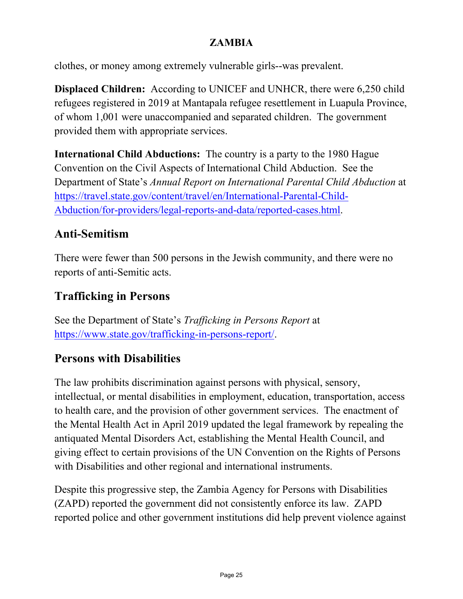clothes, or money among extremely vulnerable girls--was prevalent.

**Displaced Children:** According to UNICEF and UNHCR, there were 6,250 child refugees registered in 2019 at Mantapala refugee resettlement in Luapula Province, of whom 1,001 were unaccompanied and separated children. The government provided them with appropriate services.

**International Child Abductions:** The country is a party to the 1980 Hague Convention on the Civil Aspects of International Child Abduction. See the Department of State's *Annual Report on International Parental Child Abduction* at [https://travel.state.gov/content/travel/en/International-Parental-Child-](https://travel.state.gov/content/travel/en/International-Parental-Child-Abduction/for-providers/legal-reports-and-data/reported-cases.html)[Abduction/for-providers/legal-reports-and-data/reported-cases.html.](https://travel.state.gov/content/travel/en/International-Parental-Child-Abduction/for-providers/legal-reports-and-data/reported-cases.html)

### **Anti-Semitism**

There were fewer than 500 persons in the Jewish community, and there were no reports of anti-Semitic acts.

### **Trafficking in Persons**

See the Department of State's *Trafficking in Persons Report* at [https://www.state.gov/trafficking-in-persons-report/.](https://www.state.gov/trafficking-in-persons-report/)

### **Persons with Disabilities**

The law prohibits discrimination against persons with physical, sensory, intellectual, or mental disabilities in employment, education, transportation, access to health care, and the provision of other government services. The enactment of the Mental Health Act in April 2019 updated the legal framework by repealing the antiquated Mental Disorders Act, establishing the Mental Health Council, and giving effect to certain provisions of the UN Convention on the Rights of Persons with Disabilities and other regional and international instruments.

Despite this progressive step, the Zambia Agency for Persons with Disabilities (ZAPD) reported the government did not consistently enforce its law. ZAPD reported police and other government institutions did help prevent violence against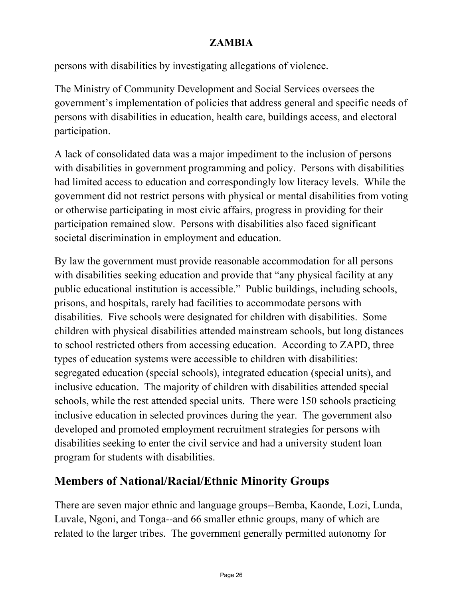persons with disabilities by investigating allegations of violence.

The Ministry of Community Development and Social Services oversees the government's implementation of policies that address general and specific needs of persons with disabilities in education, health care, buildings access, and electoral participation.

A lack of consolidated data was a major impediment to the inclusion of persons with disabilities in government programming and policy. Persons with disabilities had limited access to education and correspondingly low literacy levels. While the government did not restrict persons with physical or mental disabilities from voting or otherwise participating in most civic affairs, progress in providing for their participation remained slow. Persons with disabilities also faced significant societal discrimination in employment and education.

By law the government must provide reasonable accommodation for all persons with disabilities seeking education and provide that "any physical facility at any public educational institution is accessible." Public buildings, including schools, prisons, and hospitals, rarely had facilities to accommodate persons with disabilities. Five schools were designated for children with disabilities. Some children with physical disabilities attended mainstream schools, but long distances to school restricted others from accessing education. According to ZAPD, three types of education systems were accessible to children with disabilities: segregated education (special schools), integrated education (special units), and inclusive education. The majority of children with disabilities attended special schools, while the rest attended special units. There were 150 schools practicing inclusive education in selected provinces during the year. The government also developed and promoted employment recruitment strategies for persons with disabilities seeking to enter the civil service and had a university student loan program for students with disabilities.

### **Members of National/Racial/Ethnic Minority Groups**

There are seven major ethnic and language groups--Bemba, Kaonde, Lozi, Lunda, Luvale, Ngoni, and Tonga--and 66 smaller ethnic groups, many of which are related to the larger tribes. The government generally permitted autonomy for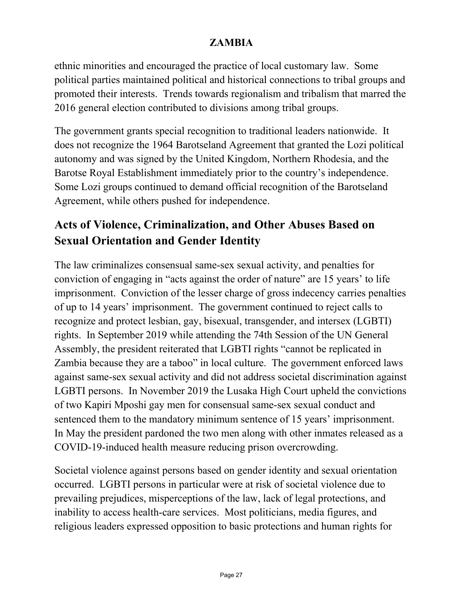ethnic minorities and encouraged the practice of local customary law. Some political parties maintained political and historical connections to tribal groups and promoted their interests. Trends towards regionalism and tribalism that marred the 2016 general election contributed to divisions among tribal groups.

The government grants special recognition to traditional leaders nationwide. It does not recognize the 1964 Barotseland Agreement that granted the Lozi political autonomy and was signed by the United Kingdom, Northern Rhodesia, and the Barotse Royal Establishment immediately prior to the country's independence. Some Lozi groups continued to demand official recognition of the Barotseland Agreement, while others pushed for independence.

### **Acts of Violence, Criminalization, and Other Abuses Based on Sexual Orientation and Gender Identity**

The law criminalizes consensual same-sex sexual activity, and penalties for conviction of engaging in "acts against the order of nature" are 15 years' to life imprisonment. Conviction of the lesser charge of gross indecency carries penalties of up to 14 years' imprisonment. The government continued to reject calls to recognize and protect lesbian, gay, bisexual, transgender, and intersex (LGBTI) rights. In September 2019 while attending the 74th Session of the UN General Assembly, the president reiterated that LGBTI rights "cannot be replicated in Zambia because they are a taboo" in local culture. The government enforced laws against same-sex sexual activity and did not address societal discrimination against LGBTI persons. In November 2019 the Lusaka High Court upheld the convictions of two Kapiri Mposhi gay men for consensual same-sex sexual conduct and sentenced them to the mandatory minimum sentence of 15 years' imprisonment. In May the president pardoned the two men along with other inmates released as a COVID-19-induced health measure reducing prison overcrowding.

Societal violence against persons based on gender identity and sexual orientation occurred. LGBTI persons in particular were at risk of societal violence due to prevailing prejudices, misperceptions of the law, lack of legal protections, and inability to access health-care services. Most politicians, media figures, and religious leaders expressed opposition to basic protections and human rights for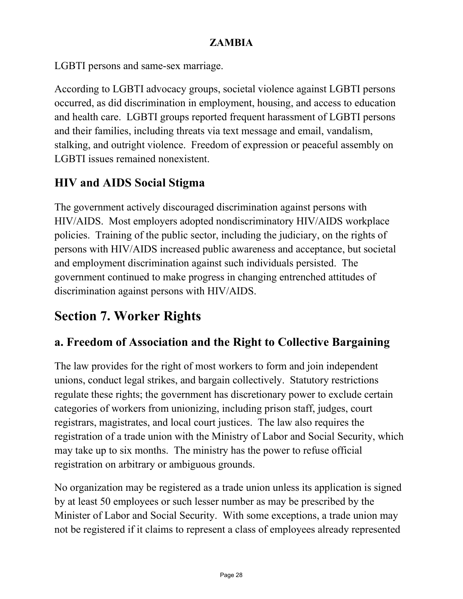LGBTI persons and same-sex marriage.

According to LGBTI advocacy groups, societal violence against LGBTI persons occurred, as did discrimination in employment, housing, and access to education and health care. LGBTI groups reported frequent harassment of LGBTI persons and their families, including threats via text message and email, vandalism, stalking, and outright violence. Freedom of expression or peaceful assembly on LGBTI issues remained nonexistent.

### **HIV and AIDS Social Stigma**

The government actively discouraged discrimination against persons with HIV/AIDS. Most employers adopted nondiscriminatory HIV/AIDS workplace policies. Training of the public sector, including the judiciary, on the rights of persons with HIV/AIDS increased public awareness and acceptance, but societal and employment discrimination against such individuals persisted. The government continued to make progress in changing entrenched attitudes of discrimination against persons with HIV/AIDS.

# **Section 7. Worker Rights**

## **a. Freedom of Association and the Right to Collective Bargaining**

The law provides for the right of most workers to form and join independent unions, conduct legal strikes, and bargain collectively. Statutory restrictions regulate these rights; the government has discretionary power to exclude certain categories of workers from unionizing, including prison staff, judges, court registrars, magistrates, and local court justices. The law also requires the registration of a trade union with the Ministry of Labor and Social Security, which may take up to six months. The ministry has the power to refuse official registration on arbitrary or ambiguous grounds.

No organization may be registered as a trade union unless its application is signed by at least 50 employees or such lesser number as may be prescribed by the Minister of Labor and Social Security. With some exceptions, a trade union may not be registered if it claims to represent a class of employees already represented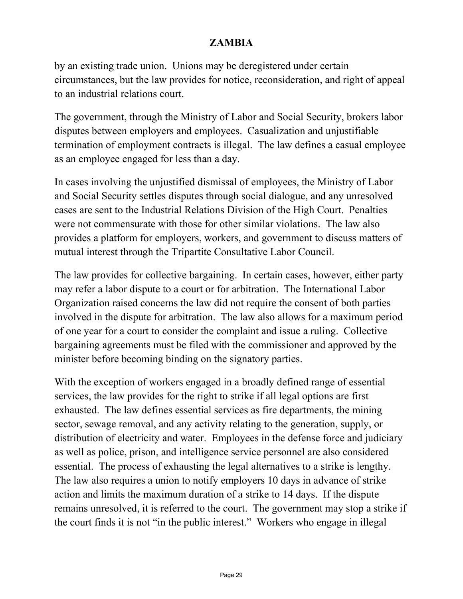by an existing trade union. Unions may be deregistered under certain circumstances, but the law provides for notice, reconsideration, and right of appeal to an industrial relations court.

The government, through the Ministry of Labor and Social Security, brokers labor disputes between employers and employees. Casualization and unjustifiable termination of employment contracts is illegal. The law defines a casual employee as an employee engaged for less than a day.

In cases involving the unjustified dismissal of employees, the Ministry of Labor and Social Security settles disputes through social dialogue, and any unresolved cases are sent to the Industrial Relations Division of the High Court. Penalties were not commensurate with those for other similar violations. The law also provides a platform for employers, workers, and government to discuss matters of mutual interest through the Tripartite Consultative Labor Council.

The law provides for collective bargaining. In certain cases, however, either party may refer a labor dispute to a court or for arbitration. The International Labor Organization raised concerns the law did not require the consent of both parties involved in the dispute for arbitration. The law also allows for a maximum period of one year for a court to consider the complaint and issue a ruling. Collective bargaining agreements must be filed with the commissioner and approved by the minister before becoming binding on the signatory parties.

With the exception of workers engaged in a broadly defined range of essential services, the law provides for the right to strike if all legal options are first exhausted. The law defines essential services as fire departments, the mining sector, sewage removal, and any activity relating to the generation, supply, or distribution of electricity and water. Employees in the defense force and judiciary as well as police, prison, and intelligence service personnel are also considered essential. The process of exhausting the legal alternatives to a strike is lengthy. The law also requires a union to notify employers 10 days in advance of strike action and limits the maximum duration of a strike to 14 days. If the dispute remains unresolved, it is referred to the court. The government may stop a strike if the court finds it is not "in the public interest." Workers who engage in illegal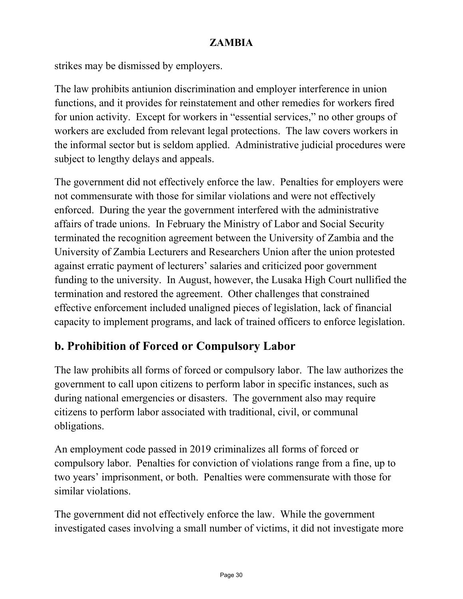strikes may be dismissed by employers.

The law prohibits antiunion discrimination and employer interference in union functions, and it provides for reinstatement and other remedies for workers fired for union activity. Except for workers in "essential services," no other groups of workers are excluded from relevant legal protections. The law covers workers in the informal sector but is seldom applied. Administrative judicial procedures were subject to lengthy delays and appeals.

The government did not effectively enforce the law. Penalties for employers were not commensurate with those for similar violations and were not effectively enforced. During the year the government interfered with the administrative affairs of trade unions. In February the Ministry of Labor and Social Security terminated the recognition agreement between the University of Zambia and the University of Zambia Lecturers and Researchers Union after the union protested against erratic payment of lecturers' salaries and criticized poor government funding to the university. In August, however, the Lusaka High Court nullified the termination and restored the agreement. Other challenges that constrained effective enforcement included unaligned pieces of legislation, lack of financial capacity to implement programs, and lack of trained officers to enforce legislation.

### **b. Prohibition of Forced or Compulsory Labor**

The law prohibits all forms of forced or compulsory labor. The law authorizes the government to call upon citizens to perform labor in specific instances, such as during national emergencies or disasters. The government also may require citizens to perform labor associated with traditional, civil, or communal obligations.

An employment code passed in 2019 criminalizes all forms of forced or compulsory labor. Penalties for conviction of violations range from a fine, up to two years' imprisonment, or both. Penalties were commensurate with those for similar violations.

The government did not effectively enforce the law. While the government investigated cases involving a small number of victims, it did not investigate more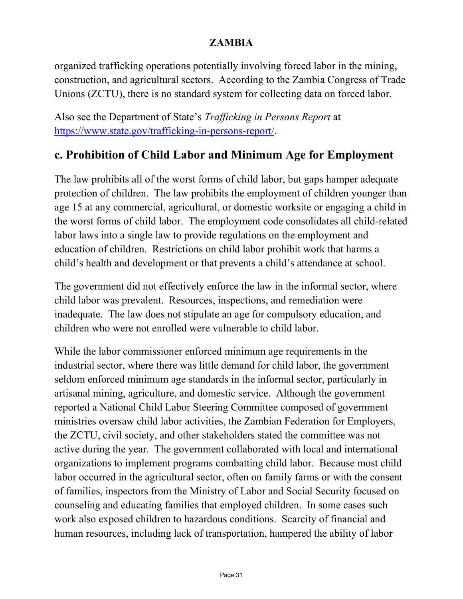organized trafficking operations potentially involving forced labor in the mining, construction, and agricultural sectors. According to the Zambia Congress of Trade Unions (ZCTU), there is no standard system for collecting data on forced labor.

Also see the Department of State's *Trafficking in Persons Report* at [https://www.state.gov/trafficking-in-persons-report/.](https://www.state.gov/trafficking-in-persons-report/)

### **c. Prohibition of Child Labor and Minimum Age for Employment**

The law prohibits all of the worst forms of child labor, but gaps hamper adequate protection of children. The law prohibits the employment of children younger than age 15 at any commercial, agricultural, or domestic worksite or engaging a child in the worst forms of child labor. The employment code consolidates all child-related labor laws into a single law to provide regulations on the employment and education of children. Restrictions on child labor prohibit work that harms a child's health and development or that prevents a child's attendance at school.

The government did not effectively enforce the law in the informal sector, where child labor was prevalent. Resources, inspections, and remediation were inadequate. The law does not stipulate an age for compulsory education, and children who were not enrolled were vulnerable to child labor.

While the labor commissioner enforced minimum age requirements in the industrial sector, where there was little demand for child labor, the government seldom enforced minimum age standards in the informal sector, particularly in artisanal mining, agriculture, and domestic service. Although the government reported a National Child Labor Steering Committee composed of government ministries oversaw child labor activities, the Zambian Federation for Employers, the ZCTU, civil society, and other stakeholders stated the committee was not active during the year. The government collaborated with local and international organizations to implement programs combatting child labor. Because most child labor occurred in the agricultural sector, often on family farms or with the consent of families, inspectors from the Ministry of Labor and Social Security focused on counseling and educating families that employed children. In some cases such work also exposed children to hazardous conditions. Scarcity of financial and human resources, including lack of transportation, hampered the ability of labor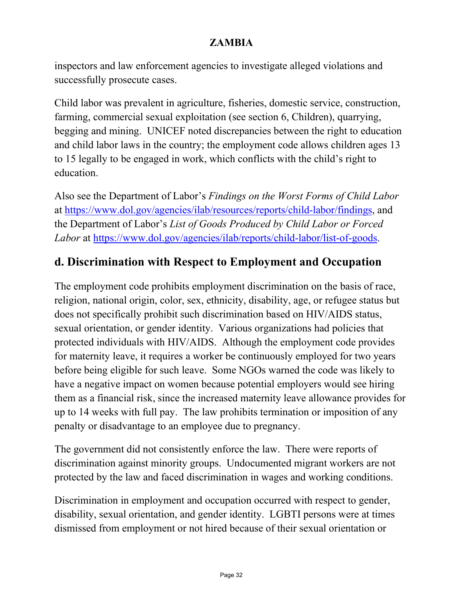inspectors and law enforcement agencies to investigate alleged violations and successfully prosecute cases.

Child labor was prevalent in agriculture, fisheries, domestic service, construction, farming, commercial sexual exploitation (see section 6, Children), quarrying, begging and mining. UNICEF noted discrepancies between the right to education and child labor laws in the country; the employment code allows children ages 13 to 15 legally to be engaged in work, which conflicts with the child's right to education.

Also see the Department of Labor's *Findings on the Worst Forms of Child Labor* at [https://www.dol.gov/agencies/ilab/resources/reports/child-labor/findings,](https://www.dol.gov/agencies/ilab/resources/reports/child-labor/findings) and the Department of Labor's *List of Goods Produced by Child Labor or Forced Labor* at [https://www.dol.gov/agencies/ilab/reports/child-labor/list-of-goods.](https://www.dol.gov/agencies/ilab/reports/child-labor/list-of-goods)

### **d. Discrimination with Respect to Employment and Occupation**

The employment code prohibits employment discrimination on the basis of race, religion, national origin, color, sex, ethnicity, disability, age, or refugee status but does not specifically prohibit such discrimination based on HIV/AIDS status, sexual orientation, or gender identity. Various organizations had policies that protected individuals with HIV/AIDS. Although the employment code provides for maternity leave, it requires a worker be continuously employed for two years before being eligible for such leave. Some NGOs warned the code was likely to have a negative impact on women because potential employers would see hiring them as a financial risk, since the increased maternity leave allowance provides for up to 14 weeks with full pay. The law prohibits termination or imposition of any penalty or disadvantage to an employee due to pregnancy.

The government did not consistently enforce the law. There were reports of discrimination against minority groups. Undocumented migrant workers are not protected by the law and faced discrimination in wages and working conditions.

Discrimination in employment and occupation occurred with respect to gender, disability, sexual orientation, and gender identity. LGBTI persons were at times dismissed from employment or not hired because of their sexual orientation or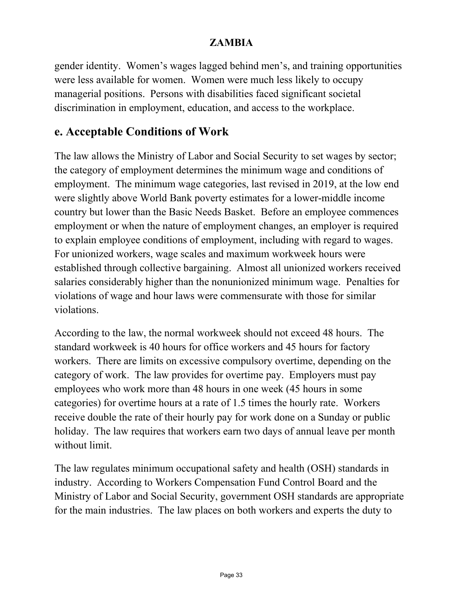gender identity. Women's wages lagged behind men's, and training opportunities were less available for women. Women were much less likely to occupy managerial positions. Persons with disabilities faced significant societal discrimination in employment, education, and access to the workplace.

### **e. Acceptable Conditions of Work**

The law allows the Ministry of Labor and Social Security to set wages by sector; the category of employment determines the minimum wage and conditions of employment. The minimum wage categories, last revised in 2019, at the low end were slightly above World Bank poverty estimates for a lower-middle income country but lower than the Basic Needs Basket. Before an employee commences employment or when the nature of employment changes, an employer is required to explain employee conditions of employment, including with regard to wages. For unionized workers, wage scales and maximum workweek hours were established through collective bargaining. Almost all unionized workers received salaries considerably higher than the nonunionized minimum wage. Penalties for violations of wage and hour laws were commensurate with those for similar violations.

According to the law, the normal workweek should not exceed 48 hours. The standard workweek is 40 hours for office workers and 45 hours for factory workers. There are limits on excessive compulsory overtime, depending on the category of work. The law provides for overtime pay. Employers must pay employees who work more than 48 hours in one week (45 hours in some categories) for overtime hours at a rate of 1.5 times the hourly rate. Workers receive double the rate of their hourly pay for work done on a Sunday or public holiday. The law requires that workers earn two days of annual leave per month without limit.

The law regulates minimum occupational safety and health (OSH) standards in industry. According to Workers Compensation Fund Control Board and the Ministry of Labor and Social Security, government OSH standards are appropriate for the main industries. The law places on both workers and experts the duty to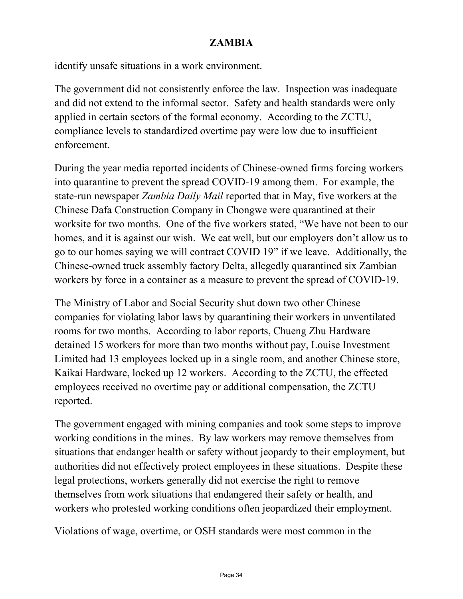identify unsafe situations in a work environment.

The government did not consistently enforce the law. Inspection was inadequate and did not extend to the informal sector. Safety and health standards were only applied in certain sectors of the formal economy. According to the ZCTU, compliance levels to standardized overtime pay were low due to insufficient enforcement.

During the year media reported incidents of Chinese-owned firms forcing workers into quarantine to prevent the spread COVID-19 among them. For example, the state-run newspaper *Zambia Daily Mail* reported that in May, five workers at the Chinese Dafa Construction Company in Chongwe were quarantined at their worksite for two months. One of the five workers stated, "We have not been to our homes, and it is against our wish. We eat well, but our employers don't allow us to go to our homes saying we will contract COVID 19" if we leave. Additionally, the Chinese-owned truck assembly factory Delta, allegedly quarantined six Zambian workers by force in a container as a measure to prevent the spread of COVID-19.

The Ministry of Labor and Social Security shut down two other Chinese companies for violating labor laws by quarantining their workers in unventilated rooms for two months. According to labor reports, Chueng Zhu Hardware detained 15 workers for more than two months without pay, Louise Investment Limited had 13 employees locked up in a single room, and another Chinese store, Kaikai Hardware, locked up 12 workers. According to the ZCTU, the effected employees received no overtime pay or additional compensation, the ZCTU reported.

The government engaged with mining companies and took some steps to improve working conditions in the mines. By law workers may remove themselves from situations that endanger health or safety without jeopardy to their employment, but authorities did not effectively protect employees in these situations. Despite these legal protections, workers generally did not exercise the right to remove themselves from work situations that endangered their safety or health, and workers who protested working conditions often jeopardized their employment.

Violations of wage, overtime, or OSH standards were most common in the